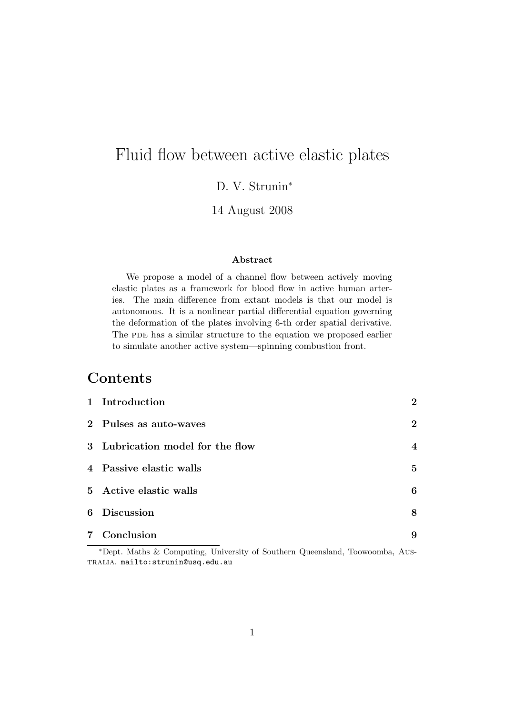# Fluid flow between active elastic plates

D. V. Strunin<sup>∗</sup>

14 August 2008

#### Abstract

We propose a model of a channel flow between actively moving elastic plates as a framework for blood flow in active human arteries. The main difference from extant models is that our model is autonomous. It is a nonlinear partial differential equation governing the deformation of the plates involving 6-th order spatial derivative. The PDE has a similar structure to the equation we proposed earlier to simulate another active system—spinning combustion front.

# Contents

| 1 Introduction                   | $\overline{2}$   |
|----------------------------------|------------------|
| 2 Pulses as auto-waves           | $\boldsymbol{2}$ |
| 3 Lubrication model for the flow | $\boldsymbol{4}$ |
| 4 Passive elastic walls          | $\overline{5}$   |
| 5 Active elastic walls           | 6                |
| 6 Discussion                     | 8                |
| 7 Conclusion                     | 9                |

<sup>∗</sup>Dept. Maths & Computing, University of Southern Queensland, Toowoomba, Australia. mailto:strunin@usq.edu.au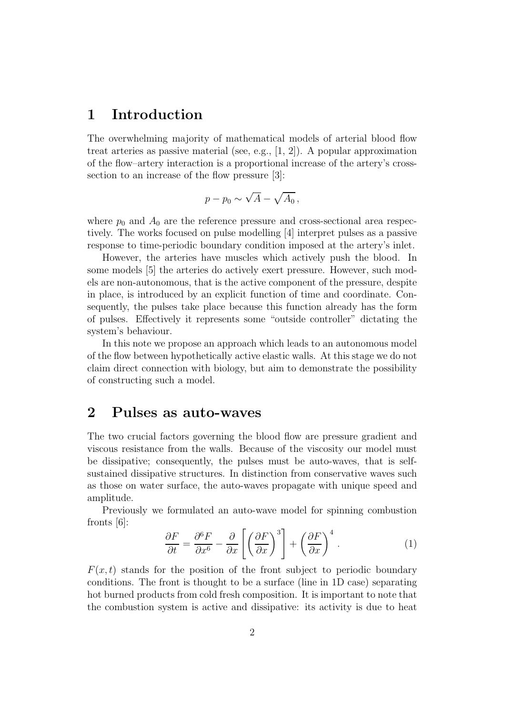## 1 Introduction

The overwhelming majority of mathematical models of arterial blood flow treat arteries as passive material (see, e.g., [1, 2]). A popular approximation of the flow–artery interaction is a proportional increase of the artery's crosssection to an increase of the flow pressure [3]:

$$
p - p_0 \sim \sqrt{A} - \sqrt{A_0} \,,
$$

where  $p_0$  and  $A_0$  are the reference pressure and cross-sectional area respectively. The works focused on pulse modelling [4] interpret pulses as a passive response to time-periodic boundary condition imposed at the artery's inlet.

However, the arteries have muscles which actively push the blood. In some models [5] the arteries do actively exert pressure. However, such models are non-autonomous, that is the active component of the pressure, despite in place, is introduced by an explicit function of time and coordinate. Consequently, the pulses take place because this function already has the form of pulses. Effectively it represents some "outside controller" dictating the system's behaviour.

In this note we propose an approach which leads to an autonomous model of the flow between hypothetically active elastic walls. At this stage we do not claim direct connection with biology, but aim to demonstrate the possibility of constructing such a model.

#### 2 Pulses as auto-waves

The two crucial factors governing the blood flow are pressure gradient and viscous resistance from the walls. Because of the viscosity our model must be dissipative; consequently, the pulses must be auto-waves, that is selfsustained dissipative structures. In distinction from conservative waves such as those on water surface, the auto-waves propagate with unique speed and amplitude.

Previously we formulated an auto-wave model for spinning combustion fronts  $|6|$ :

$$
\frac{\partial F}{\partial t} = \frac{\partial^6 F}{\partial x^6} - \frac{\partial}{\partial x} \left[ \left( \frac{\partial F}{\partial x} \right)^3 \right] + \left( \frac{\partial F}{\partial x} \right)^4.
$$
 (1)

 $F(x, t)$  stands for the position of the front subject to periodic boundary conditions. The front is thought to be a surface (line in 1D case) separating hot burned products from cold fresh composition. It is important to note that the combustion system is active and dissipative: its activity is due to heat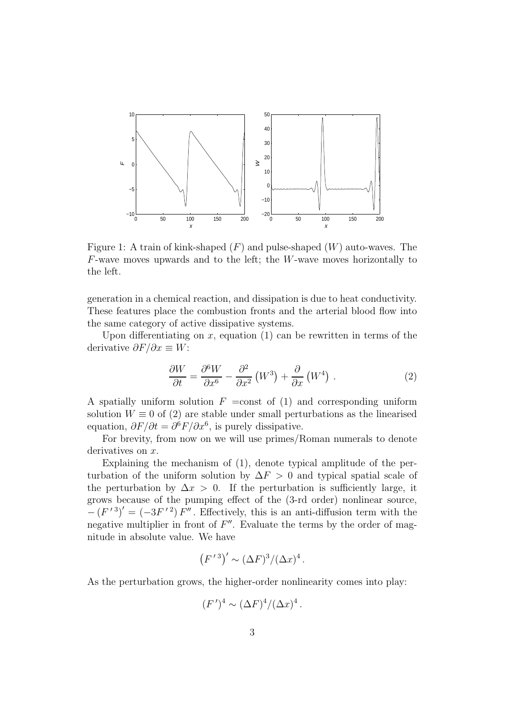

Figure 1: A train of kink-shaped  $(F)$  and pulse-shaped  $(W)$  auto-waves. The F-wave moves upwards and to the left; the W-wave moves horizontally to the left.

generation in a chemical reaction, and dissipation is due to heat conductivity. These features place the combustion fronts and the arterial blood flow into the same category of active dissipative systems.

Upon differentiating on x, equation  $(1)$  can be rewritten in terms of the derivative  $\partial F/\partial x \equiv W$ :

$$
\frac{\partial W}{\partial t} = \frac{\partial^6 W}{\partial x^6} - \frac{\partial^2}{\partial x^2} \left( W^3 \right) + \frac{\partial}{\partial x} \left( W^4 \right) . \tag{2}
$$

A spatially uniform solution  $F = \text{const}$  of (1) and corresponding uniform solution  $W \equiv 0$  of (2) are stable under small perturbations as the linearised equation,  $\partial F/\partial t = \partial^6 F/\partial x^6$ , is purely dissipative.

For brevity, from now on we will use primes/Roman numerals to denote derivatives on x.

Explaining the mechanism of (1), denote typical amplitude of the perturbation of the uniform solution by  $\Delta F > 0$  and typical spatial scale of the perturbation by  $\Delta x > 0$ . If the perturbation is sufficiently large, it grows because of the pumping effect of the (3-rd order) nonlinear source,  $-(F'')' = (-3F'')F''$ . Effectively, this is an anti-diffusion term with the negative multiplier in front of  $F''$ . Evaluate the terms by the order of magnitude in absolute value. We have

$$
(F^{\,\prime\,3})^{\prime}\sim (\Delta F)^3/(\Delta x)^4\,.
$$

As the perturbation grows, the higher-order nonlinearity comes into play:

$$
(F')^4 \sim (\Delta F)^4/(\Delta x)^4.
$$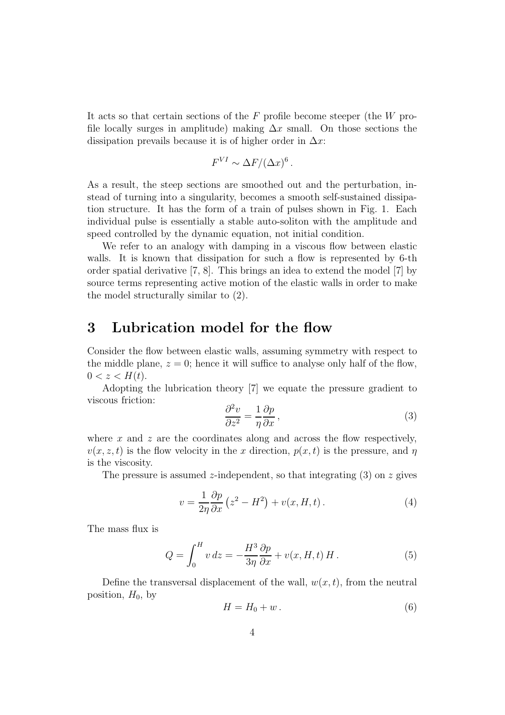It acts so that certain sections of the  $F$  profile become steeper (the  $W$  profile locally surges in amplitude) making  $\Delta x$  small. On those sections the dissipation prevails because it is of higher order in  $\Delta x$ :

$$
F^{VI} \sim \Delta F / (\Delta x)^6.
$$

As a result, the steep sections are smoothed out and the perturbation, instead of turning into a singularity, becomes a smooth self-sustained dissipation structure. It has the form of a train of pulses shown in Fig. 1. Each individual pulse is essentially a stable auto-soliton with the amplitude and speed controlled by the dynamic equation, not initial condition.

We refer to an analogy with damping in a viscous flow between elastic walls. It is known that dissipation for such a flow is represented by 6-th order spatial derivative [7, 8]. This brings an idea to extend the model [7] by source terms representing active motion of the elastic walls in order to make the model structurally similar to (2).

#### 3 Lubrication model for the flow

Consider the flow between elastic walls, assuming symmetry with respect to the middle plane,  $z = 0$ ; hence it will suffice to analyse only half of the flow,  $0 < z < H(t)$ .

Adopting the lubrication theory [7] we equate the pressure gradient to viscous friction:

$$
\frac{\partial^2 v}{\partial z^2} = \frac{1}{\eta} \frac{\partial p}{\partial x},\tag{3}
$$

where x and z are the coordinates along and across the flow respectively,  $v(x, z, t)$  is the flow velocity in the x direction,  $p(x, t)$  is the pressure, and  $\eta$ is the viscosity.

The pressure is assumed z-independent, so that integrating  $(3)$  on z gives

$$
v = \frac{1}{2\eta} \frac{\partial p}{\partial x} \left( z^2 - H^2 \right) + v(x, H, t).
$$
 (4)

The mass flux is

$$
Q = \int_0^H v \, dz = -\frac{H^3}{3\eta} \frac{\partial p}{\partial x} + v(x, H, t) H. \tag{5}
$$

Define the transversal displacement of the wall,  $w(x, t)$ , from the neutral position,  $H_0$ , by

$$
H = H_0 + w \,. \tag{6}
$$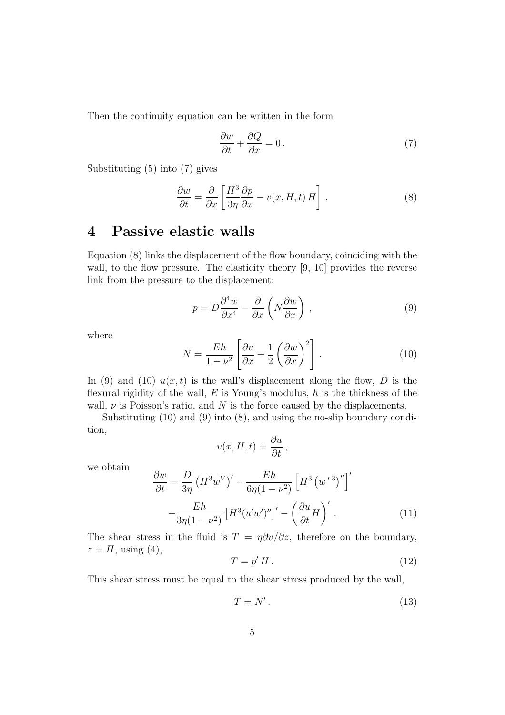Then the continuity equation can be written in the form

$$
\frac{\partial w}{\partial t} + \frac{\partial Q}{\partial x} = 0.
$$
 (7)

Substituting (5) into (7) gives

$$
\frac{\partial w}{\partial t} = \frac{\partial}{\partial x} \left[ \frac{H^3}{3\eta} \frac{\partial p}{\partial x} - v(x, H, t) H \right].
$$
 (8)

# 4 Passive elastic walls

Equation (8) links the displacement of the flow boundary, coinciding with the wall, to the flow pressure. The elasticity theory [9, 10] provides the reverse link from the pressure to the displacement:

$$
p = D\frac{\partial^4 w}{\partial x^4} - \frac{\partial}{\partial x} \left( N \frac{\partial w}{\partial x} \right) , \qquad (9)
$$

where

$$
N = \frac{Eh}{1 - \nu^2} \left[ \frac{\partial u}{\partial x} + \frac{1}{2} \left( \frac{\partial w}{\partial x} \right)^2 \right].
$$
 (10)

In (9) and (10)  $u(x, t)$  is the wall's displacement along the flow, D is the flexural rigidity of the wall,  $E$  is Young's modulus,  $h$  is the thickness of the wall,  $\nu$  is Poisson's ratio, and N is the force caused by the displacements.

Substituting (10) and (9) into (8), and using the no-slip boundary condition,

$$
v(x, H, t) = \frac{\partial u}{\partial t},
$$

we obtain

$$
\frac{\partial w}{\partial t} = \frac{D}{3\eta} \left( H^3 w^V \right)' - \frac{Eh}{6\eta (1 - \nu^2)} \left[ H^3 \left( w^{\prime 3} \right)'' \right]'
$$

$$
- \frac{Eh}{3\eta (1 - \nu^2)} \left[ H^3 (u'w')'' \right]' - \left( \frac{\partial u}{\partial t} H \right)' . \tag{11}
$$

The shear stress in the fluid is  $T = \eta \partial v / \partial z$ , therefore on the boundary,  $z = H$ , using (4),

$$
T = p'H.
$$
\n<sup>(12)</sup>

This shear stress must be equal to the shear stress produced by the wall,

$$
T = N'.
$$
\n<sup>(13)</sup>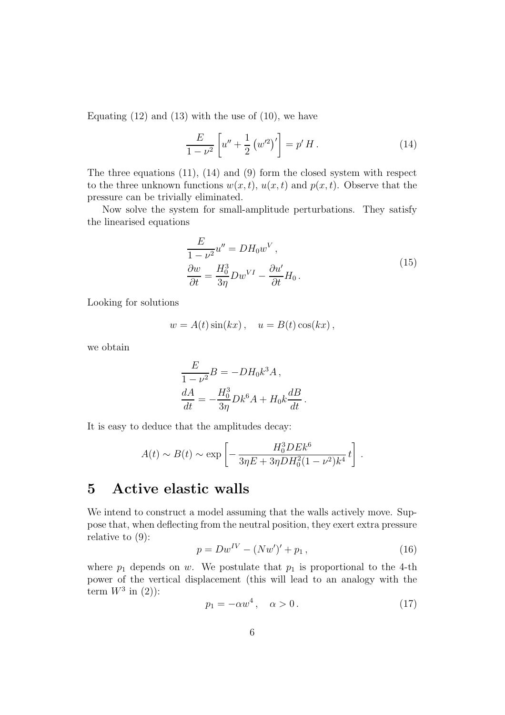Equating  $(12)$  and  $(13)$  with the use of  $(10)$ , we have

$$
\frac{E}{1-\nu^2} \left[ u'' + \frac{1}{2} \left( w'^2 \right)' \right] = p' H. \tag{14}
$$

The three equations (11), (14) and (9) form the closed system with respect to the three unknown functions  $w(x, t)$ ,  $u(x, t)$  and  $p(x, t)$ . Observe that the pressure can be trivially eliminated.

Now solve the system for small-amplitude perturbations. They satisfy the linearised equations

$$
\frac{E}{1 - \nu^2} u'' = DH_0 w^V,
$$
  
\n
$$
\frac{\partial w}{\partial t} = \frac{H_0^3}{3\eta} Dw^{VI} - \frac{\partial u'}{\partial t} H_0.
$$
\n(15)

Looking for solutions

$$
w = A(t)\sin(kx), \quad u = B(t)\cos(kx),
$$

we obtain

$$
\frac{E}{1-\nu^2}B = -DH_0k^3A,
$$
  

$$
\frac{dA}{dt} = -\frac{H_0^3}{3\eta}Dk^6A + H_0k\frac{dB}{dt}.
$$

It is easy to deduce that the amplitudes decay:

$$
A(t)\sim B(t)\sim \exp\left[-\,\frac{H_0^3DE k^6}{3\eta E+3\eta DH_0^2(1-\nu^2)k^4}\,t\right]\,.
$$

# 5 Active elastic walls

We intend to construct a model assuming that the walls actively move. Suppose that, when deflecting from the neutral position, they exert extra pressure relative to (9):

$$
p = Dw^{IV} - (Nw')' + p_1, \qquad (16)
$$

where  $p_1$  depends on w. We postulate that  $p_1$  is proportional to the 4-th power of the vertical displacement (this will lead to an analogy with the term  $W^3$  in (2)):

$$
p_1 = -\alpha w^4, \quad \alpha > 0. \tag{17}
$$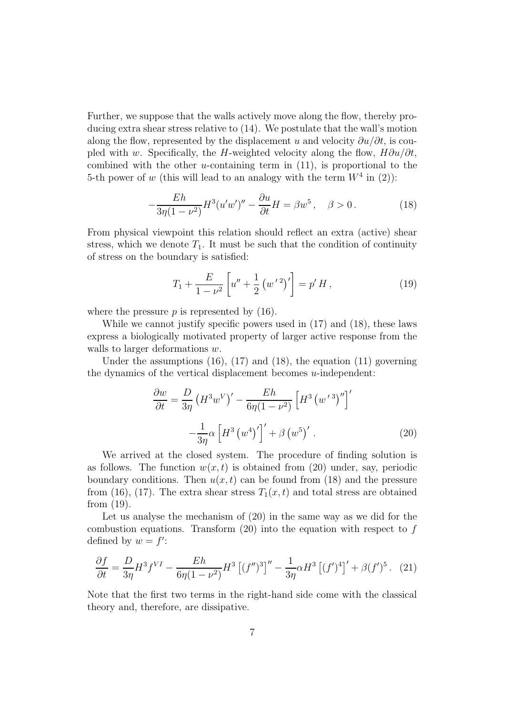Further, we suppose that the walls actively move along the flow, thereby producing extra shear stress relative to (14). We postulate that the wall's motion along the flow, represented by the displacement u and velocity  $\partial u/\partial t$ , is coupled with w. Specifically, the H-weighted velocity along the flow,  $H\partial u/\partial t$ , combined with the other u-containing term in  $(11)$ , is proportional to the 5-th power of w (this will lead to an analogy with the term  $W^4$  in (2)):

$$
-\frac{Eh}{3\eta(1-\nu^2)}H^3(u'w'')'' - \frac{\partial u}{\partial t}H = \beta w^5, \quad \beta > 0.
$$
 (18)

From physical viewpoint this relation should reflect an extra (active) shear stress, which we denote  $T_1$ . It must be such that the condition of continuity of stress on the boundary is satisfied:

$$
T_1 + \frac{E}{1 - \nu^2} \left[ u'' + \frac{1}{2} \left( w'^2 \right)' \right] = p' H, \qquad (19)
$$

where the pressure  $p$  is represented by  $(16)$ .

While we cannot justify specific powers used in (17) and (18), these laws express a biologically motivated property of larger active response from the walls to larger deformations w.

Under the assumptions  $(16)$ ,  $(17)$  and  $(18)$ , the equation  $(11)$  governing the dynamics of the vertical displacement becomes  $u$ -independent:

$$
\frac{\partial w}{\partial t} = \frac{D}{3\eta} \left( H^3 w^V \right)' - \frac{Eh}{6\eta (1 - \nu^2)} \left[ H^3 \left( w^{\prime 3} \right)'' \right]'
$$

$$
- \frac{1}{3\eta} \alpha \left[ H^3 \left( w^4 \right)' \right]' + \beta \left( w^5 \right)' . \tag{20}
$$

We arrived at the closed system. The procedure of finding solution is as follows. The function  $w(x, t)$  is obtained from (20) under, say, periodic boundary conditions. Then  $u(x, t)$  can be found from (18) and the pressure from (16), (17). The extra shear stress  $T_1(x,t)$  and total stress are obtained from (19).

Let us analyse the mechanism of (20) in the same way as we did for the combustion equations. Transform  $(20)$  into the equation with respect to f defined by  $w = f'$ :

$$
\frac{\partial f}{\partial t} = \frac{D}{3\eta} H^3 f^{VI} - \frac{Eh}{6\eta (1 - \nu^2)} H^3 \left[ (f'')^3 \right]'' - \frac{1}{3\eta} \alpha H^3 \left[ (f')^4 \right]' + \beta (f')^5. \tag{21}
$$

Note that the first two terms in the right-hand side come with the classical theory and, therefore, are dissipative.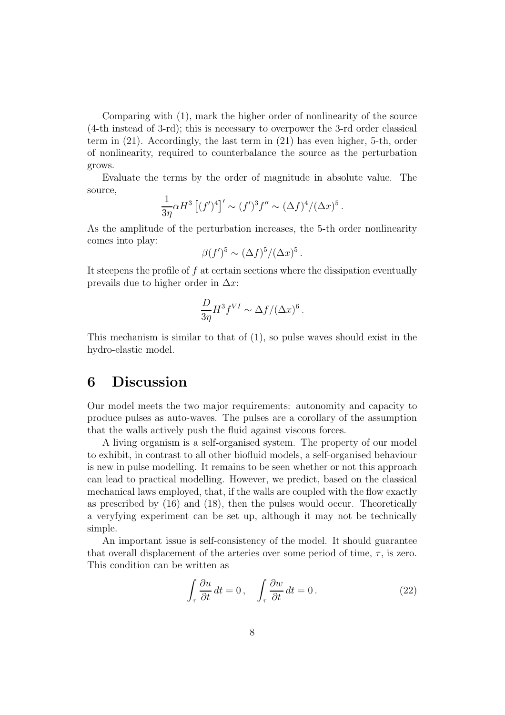Comparing with (1), mark the higher order of nonlinearity of the source (4-th instead of 3-rd); this is necessary to overpower the 3-rd order classical term in (21). Accordingly, the last term in (21) has even higher, 5-th, order of nonlinearity, required to counterbalance the source as the perturbation grows.

Evaluate the terms by the order of magnitude in absolute value. The source,

$$
\frac{1}{3\eta} \alpha H^3 \left[ (f')^4 \right] ' \sim (f')^3 f'' \sim (\Delta f)^4 / (\Delta x)^5 .
$$

As the amplitude of the perturbation increases, the 5-th order nonlinearity comes into play:

$$
\beta(f')^5 \sim (\Delta f)^5/(\Delta x)^5.
$$

It steepens the profile of f at certain sections where the dissipation eventually prevails due to higher order in  $\Delta x$ :

$$
\frac{D}{3\eta}H^3f^{VI} \sim \Delta f/(\Delta x)^6.
$$

This mechanism is similar to that of (1), so pulse waves should exist in the hydro-elastic model.

## 6 Discussion

Our model meets the two major requirements: autonomity and capacity to produce pulses as auto-waves. The pulses are a corollary of the assumption that the walls actively push the fluid against viscous forces.

A living organism is a self-organised system. The property of our model to exhibit, in contrast to all other biofluid models, a self-organised behaviour is new in pulse modelling. It remains to be seen whether or not this approach can lead to practical modelling. However, we predict, based on the classical mechanical laws employed, that, if the walls are coupled with the flow exactly as prescribed by (16) and (18), then the pulses would occur. Theoretically a veryfying experiment can be set up, although it may not be technically simple.

An important issue is self-consistency of the model. It should guarantee that overall displacement of the arteries over some period of time,  $\tau$ , is zero. This condition can be written as

$$
\int_{\tau} \frac{\partial u}{\partial t} dt = 0, \quad \int_{\tau} \frac{\partial w}{\partial t} dt = 0.
$$
\n(22)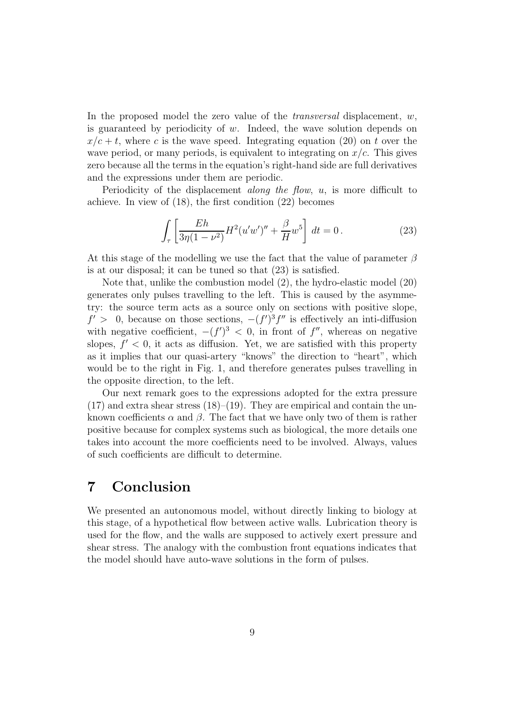In the proposed model the zero value of the *transversal* displacement,  $w$ , is guaranteed by periodicity of w. Indeed, the wave solution depends on  $x/c + t$ , where c is the wave speed. Integrating equation (20) on t over the wave period, or many periods, is equivalent to integrating on  $x/c$ . This gives zero because all the terms in the equation's right-hand side are full derivatives and the expressions under them are periodic.

Periodicity of the displacement *along the flow*,  $u$ , is more difficult to achieve. In view of (18), the first condition (22) becomes

$$
\int_{\tau} \left[ \frac{Eh}{3\eta(1-\nu^2)} H^2(u'w')'' + \frac{\beta}{H} w^5 \right] dt = 0. \tag{23}
$$

At this stage of the modelling we use the fact that the value of parameter  $\beta$ is at our disposal; it can be tuned so that (23) is satisfied.

Note that, unlike the combustion model (2), the hydro-elastic model (20) generates only pulses travelling to the left. This is caused by the asymmetry: the source term acts as a source only on sections with positive slope,  $f' > 0$ , because on those sections,  $-(f')^3 f''$  is effectively an inti-diffusion with negative coefficient,  $-(f')^3 < 0$ , in front of  $f''$ , whereas on negative slopes,  $f' < 0$ , it acts as diffusion. Yet, we are satisfied with this property as it implies that our quasi-artery "knows" the direction to "heart", which would be to the right in Fig. 1, and therefore generates pulses travelling in the opposite direction, to the left.

Our next remark goes to the expressions adopted for the extra pressure  $(17)$  and extra shear stress  $(18)$ – $(19)$ . They are empirical and contain the unknown coefficients  $\alpha$  and  $\beta$ . The fact that we have only two of them is rather positive because for complex systems such as biological, the more details one takes into account the more coefficients need to be involved. Always, values of such coefficients are difficult to determine.

#### 7 Conclusion

We presented an autonomous model, without directly linking to biology at this stage, of a hypothetical flow between active walls. Lubrication theory is used for the flow, and the walls are supposed to actively exert pressure and shear stress. The analogy with the combustion front equations indicates that the model should have auto-wave solutions in the form of pulses.